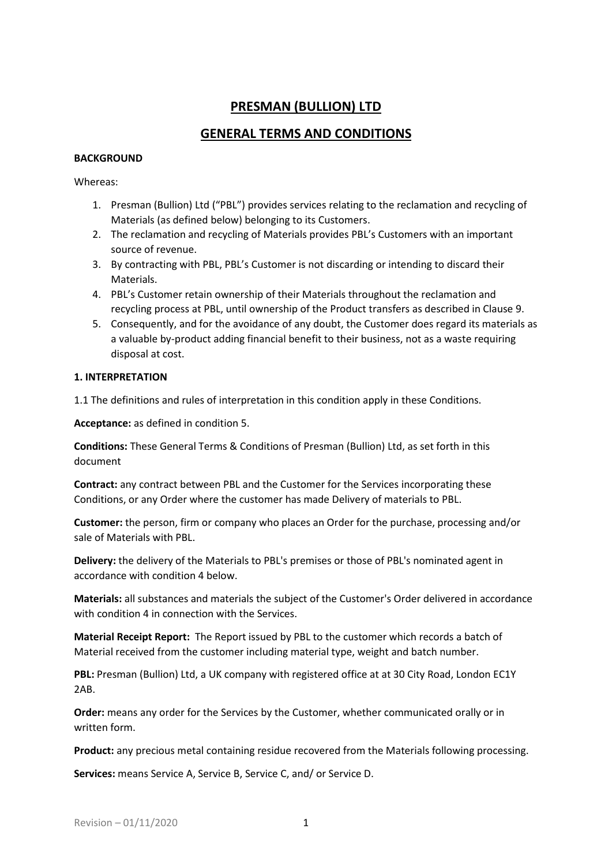# **PRESMAN (BULLION) LTD**

# **GENERAL TERMS AND CONDITIONS**

#### **BACKGROUND**

#### Whereas:

- 1. Presman (Bullion) Ltd ("PBL") provides services relating to the reclamation and recycling of Materials (as defined below) belonging to its Customers.
- 2. The reclamation and recycling of Materials provides PBL's Customers with an important source of revenue.
- 3. By contracting with PBL, PBL's Customer is not discarding or intending to discard their Materials.
- 4. PBL's Customer retain ownership of their Materials throughout the reclamation and recycling process at PBL, until ownership of the Product transfers as described in Clause 9.
- 5. Consequently, and for the avoidance of any doubt, the Customer does regard its materials as a valuable by-product adding financial benefit to their business, not as a waste requiring disposal at cost.

## **1. INTERPRETATION**

1.1 The definitions and rules of interpretation in this condition apply in these Conditions.

**Acceptance:** as defined in condition 5.

**Conditions:** These General Terms & Conditions of Presman (Bullion) Ltd, as set forth in this document

**Contract:** any contract between PBL and the Customer for the Services incorporating these Conditions, or any Order where the customer has made Delivery of materials to PBL.

**Customer:** the person, firm or company who places an Order for the purchase, processing and/or sale of Materials with PBL.

**Delivery:** the delivery of the Materials to PBL's premises or those of PBL's nominated agent in accordance with condition 4 below.

**Materials:** all substances and materials the subject of the Customer's Order delivered in accordance with condition 4 in connection with the Services.

**Material Receipt Report:** The Report issued by PBL to the customer which records a batch of Material received from the customer including material type, weight and batch number.

PBL: Presman (Bullion) Ltd, a UK company with registered office at at 30 City Road, London EC1Y 2AB.

**Order:** means any order for the Services by the Customer, whether communicated orally or in written form.

**Product:** any precious metal containing residue recovered from the Materials following processing.

**Services:** means Service A, Service B, Service C, and/ or Service D.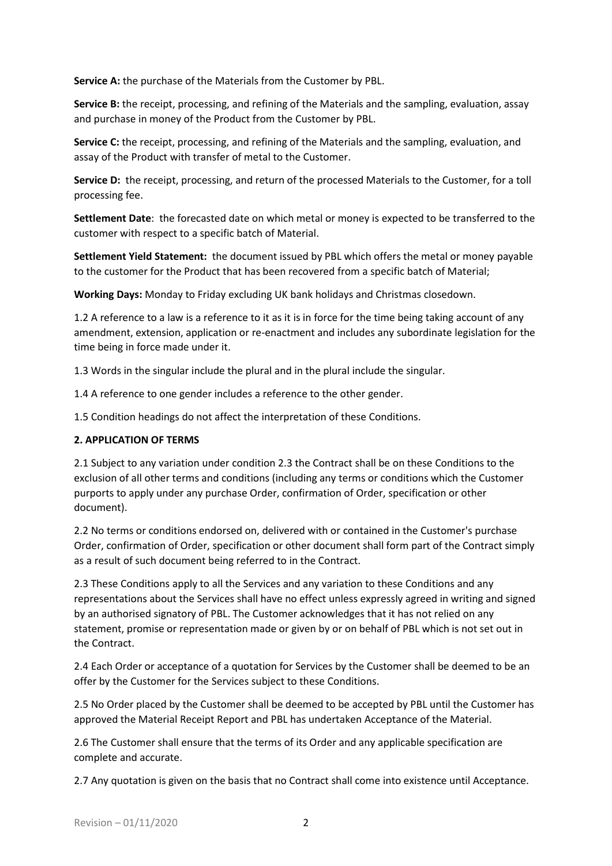**Service A:** the purchase of the Materials from the Customer by PBL.

**Service B:** the receipt, processing, and refining of the Materials and the sampling, evaluation, assay and purchase in money of the Product from the Customer by PBL.

**Service C:** the receipt, processing, and refining of the Materials and the sampling, evaluation, and assay of the Product with transfer of metal to the Customer.

**Service D:** the receipt, processing, and return of the processed Materials to the Customer, for a toll processing fee.

**Settlement Date**: the forecasted date on which metal or money is expected to be transferred to the customer with respect to a specific batch of Material.

**Settlement Yield Statement:** the document issued by PBL which offers the metal or money payable to the customer for the Product that has been recovered from a specific batch of Material;

**Working Days:** Monday to Friday excluding UK bank holidays and Christmas closedown.

1.2 A reference to a law is a reference to it as it is in force for the time being taking account of any amendment, extension, application or re-enactment and includes any subordinate legislation for the time being in force made under it.

1.3 Words in the singular include the plural and in the plural include the singular.

1.4 A reference to one gender includes a reference to the other gender.

1.5 Condition headings do not affect the interpretation of these Conditions.

#### **2. APPLICATION OF TERMS**

2.1 Subject to any variation under condition 2.3 the Contract shall be on these Conditions to the exclusion of all other terms and conditions (including any terms or conditions which the Customer purports to apply under any purchase Order, confirmation of Order, specification or other document).

2.2 No terms or conditions endorsed on, delivered with or contained in the Customer's purchase Order, confirmation of Order, specification or other document shall form part of the Contract simply as a result of such document being referred to in the Contract.

2.3 These Conditions apply to all the Services and any variation to these Conditions and any representations about the Services shall have no effect unless expressly agreed in writing and signed by an authorised signatory of PBL. The Customer acknowledges that it has not relied on any statement, promise or representation made or given by or on behalf of PBL which is not set out in the Contract.

2.4 Each Order or acceptance of a quotation for Services by the Customer shall be deemed to be an offer by the Customer for the Services subject to these Conditions.

2.5 No Order placed by the Customer shall be deemed to be accepted by PBL until the Customer has approved the Material Receipt Report and PBL has undertaken Acceptance of the Material.

2.6 The Customer shall ensure that the terms of its Order and any applicable specification are complete and accurate.

2.7 Any quotation is given on the basis that no Contract shall come into existence until Acceptance.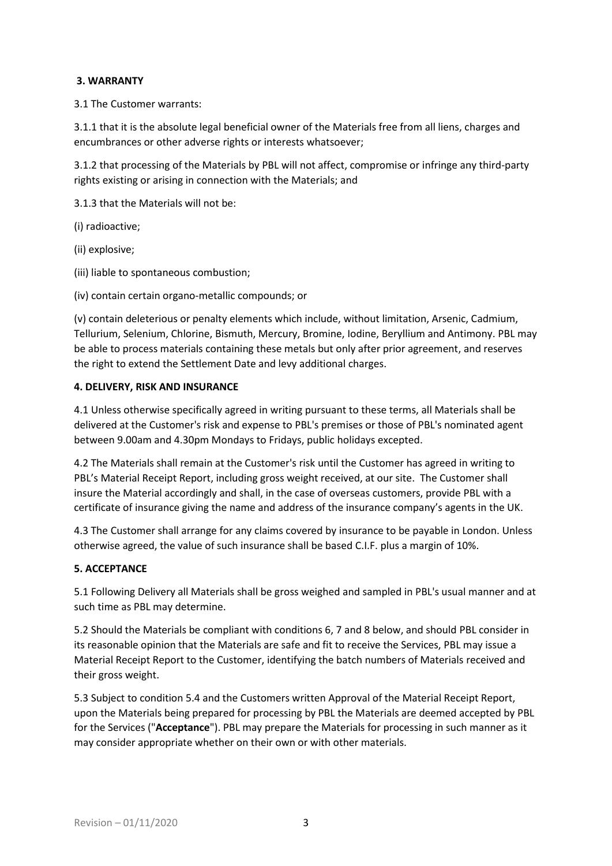# **3. WARRANTY**

3.1 The Customer warrants:

3.1.1 that it is the absolute legal beneficial owner of the Materials free from all liens, charges and encumbrances or other adverse rights or interests whatsoever;

3.1.2 that processing of the Materials by PBL will not affect, compromise or infringe any third-party rights existing or arising in connection with the Materials; and

3.1.3 that the Materials will not be:

(i) radioactive;

(ii) explosive;

(iii) liable to spontaneous combustion;

(iv) contain certain organo-metallic compounds; or

(v) contain deleterious or penalty elements which include, without limitation, Arsenic, Cadmium, Tellurium, Selenium, Chlorine, Bismuth, Mercury, Bromine, Iodine, Beryllium and Antimony. PBL may be able to process materials containing these metals but only after prior agreement, and reserves the right to extend the Settlement Date and levy additional charges.

## **4. DELIVERY, RISK AND INSURANCE**

4.1 Unless otherwise specifically agreed in writing pursuant to these terms, all Materials shall be delivered at the Customer's risk and expense to PBL's premises or those of PBL's nominated agent between 9.00am and 4.30pm Mondays to Fridays, public holidays excepted.

4.2 The Materials shall remain at the Customer's risk until the Customer has agreed in writing to PBL's Material Receipt Report, including gross weight received, at our site. The Customer shall insure the Material accordingly and shall, in the case of overseas customers, provide PBL with a certificate of insurance giving the name and address of the insurance company's agents in the UK.

4.3 The Customer shall arrange for any claims covered by insurance to be payable in London. Unless otherwise agreed, the value of such insurance shall be based C.I.F. plus a margin of 10%.

# **5. ACCEPTANCE**

5.1 Following Delivery all Materials shall be gross weighed and sampled in PBL's usual manner and at such time as PBL may determine.

5.2 Should the Materials be compliant with conditions 6, 7 and 8 below, and should PBL consider in its reasonable opinion that the Materials are safe and fit to receive the Services, PBL may issue a Material Receipt Report to the Customer, identifying the batch numbers of Materials received and their gross weight.

5.3 Subject to condition 5.4 and the Customers written Approval of the Material Receipt Report, upon the Materials being prepared for processing by PBL the Materials are deemed accepted by PBL for the Services ("**Acceptance**"). PBL may prepare the Materials for processing in such manner as it may consider appropriate whether on their own or with other materials.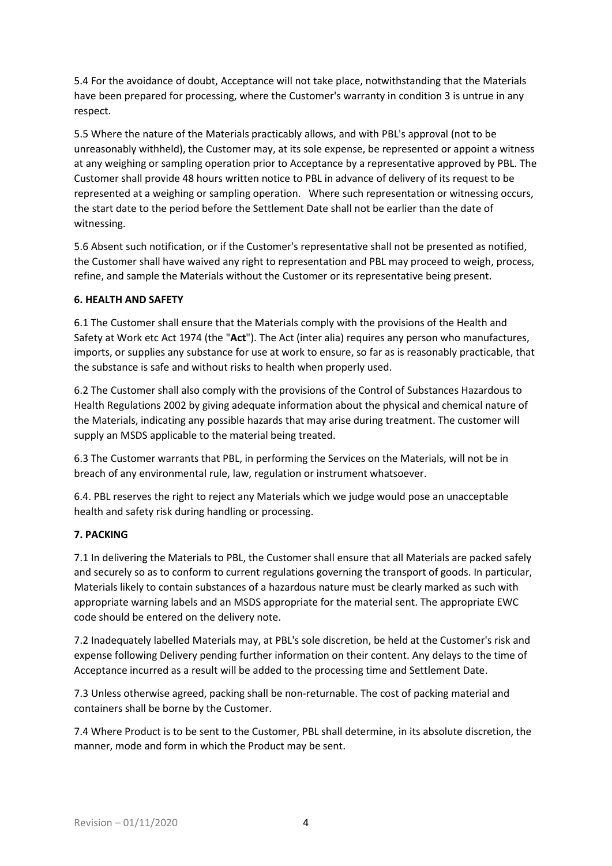5.4 For the avoidance of doubt, Acceptance will not take place, notwithstanding that the Materials have been prepared for processing, where the Customer's warranty in condition 3 is untrue in any respect.

5.5 Where the nature of the Materials practicably allows, and with PBL's approval (not to be unreasonably withheld), the Customer may, at its sole expense, be represented or appoint a witness at any weighing or sampling operation prior to Acceptance by a representative approved by PBL. The Customer shall provide 48 hours written notice to PBL in advance of delivery of its request to be represented at a weighing or sampling operation. Where such representation or witnessing occurs, the start date to the period before the Settlement Date shall not be earlier than the date of witnessing.

5.6 Absent such notification, or if the Customer's representative shall not be presented as notified, the Customer shall have waived any right to representation and PBL may proceed to weigh, process, refine, and sample the Materials without the Customer or its representative being present.

## **6. HEALTH AND SAFETY**

6.1 The Customer shall ensure that the Materials comply with the provisions of the Health and Safety at Work etc Act 1974 (the "**Act**"). The Act (inter alia) requires any person who manufactures, imports, or supplies any substance for use at work to ensure, so far as is reasonably practicable, that the substance is safe and without risks to health when properly used.

6.2 The Customer shall also comply with the provisions of the Control of Substances Hazardous to Health Regulations 2002 by giving adequate information about the physical and chemical nature of the Materials, indicating any possible hazards that may arise during treatment. The customer will supply an MSDS applicable to the material being treated.

6.3 The Customer warrants that PBL, in performing the Services on the Materials, will not be in breach of any environmental rule, law, regulation or instrument whatsoever.

6.4. PBL reserves the right to reject any Materials which we judge would pose an unacceptable health and safety risk during handling or processing.

#### **7. PACKING**

7.1 In delivering the Materials to PBL, the Customer shall ensure that all Materials are packed safely and securely so as to conform to current regulations governing the transport of goods. In particular, Materials likely to contain substances of a hazardous nature must be clearly marked as such with appropriate warning labels and an MSDS appropriate for the material sent. The appropriate EWC code should be entered on the delivery note.

7.2 Inadequately labelled Materials may, at PBL's sole discretion, be held at the Customer's risk and expense following Delivery pending further information on their content. Any delays to the time of Acceptance incurred as a result will be added to the processing time and Settlement Date.

7.3 Unless otherwise agreed, packing shall be non-returnable. The cost of packing material and containers shall be borne by the Customer.

7.4 Where Product is to be sent to the Customer, PBL shall determine, in its absolute discretion, the manner, mode and form in which the Product may be sent.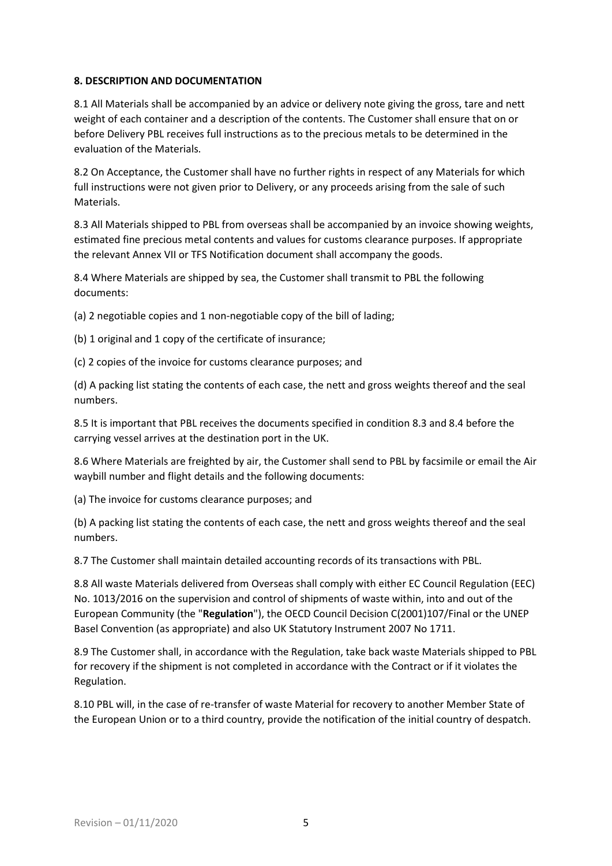## **8. DESCRIPTION AND DOCUMENTATION**

8.1 All Materials shall be accompanied by an advice or delivery note giving the gross, tare and nett weight of each container and a description of the contents. The Customer shall ensure that on or before Delivery PBL receives full instructions as to the precious metals to be determined in the evaluation of the Materials.

8.2 On Acceptance, the Customer shall have no further rights in respect of any Materials for which full instructions were not given prior to Delivery, or any proceeds arising from the sale of such Materials.

8.3 All Materials shipped to PBL from overseas shall be accompanied by an invoice showing weights, estimated fine precious metal contents and values for customs clearance purposes. If appropriate the relevant Annex VII or TFS Notification document shall accompany the goods.

8.4 Where Materials are shipped by sea, the Customer shall transmit to PBL the following documents:

(a) 2 negotiable copies and 1 non-negotiable copy of the bill of lading;

(b) 1 original and 1 copy of the certificate of insurance;

(c) 2 copies of the invoice for customs clearance purposes; and

(d) A packing list stating the contents of each case, the nett and gross weights thereof and the seal numbers.

8.5 It is important that PBL receives the documents specified in condition 8.3 and 8.4 before the carrying vessel arrives at the destination port in the UK.

8.6 Where Materials are freighted by air, the Customer shall send to PBL by facsimile or email the Air waybill number and flight details and the following documents:

(a) The invoice for customs clearance purposes; and

(b) A packing list stating the contents of each case, the nett and gross weights thereof and the seal numbers.

8.7 The Customer shall maintain detailed accounting records of its transactions with PBL.

8.8 All waste Materials delivered from Overseas shall comply with either EC Council Regulation (EEC) No. 1013/2016 on the supervision and control of shipments of waste within, into and out of the European Community (the "**Regulation**"), the OECD Council Decision C(2001)107/Final or the UNEP Basel Convention (as appropriate) and also UK Statutory Instrument 2007 No 1711.

8.9 The Customer shall, in accordance with the Regulation, take back waste Materials shipped to PBL for recovery if the shipment is not completed in accordance with the Contract or if it violates the Regulation.

8.10 PBL will, in the case of re-transfer of waste Material for recovery to another Member State of the European Union or to a third country, provide the notification of the initial country of despatch.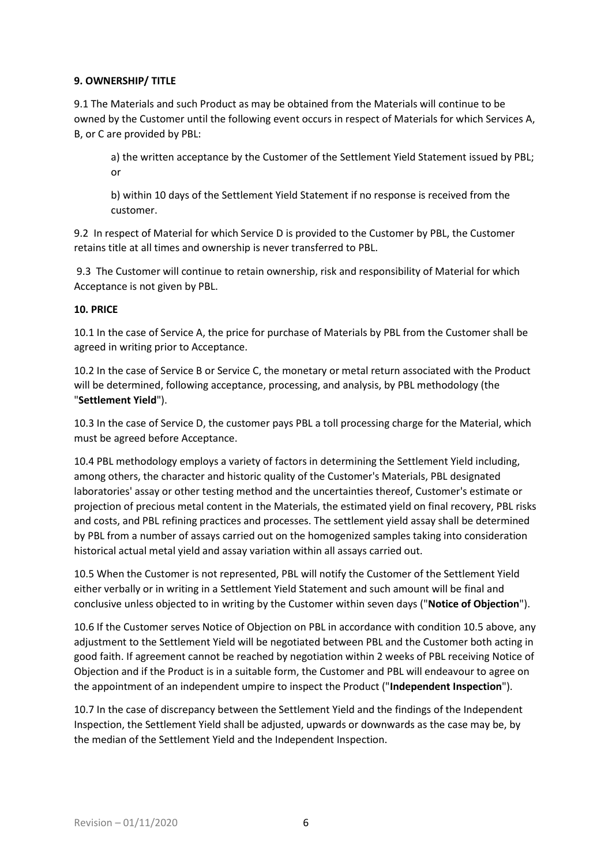## **9. OWNERSHIP/ TITLE**

9.1 The Materials and such Product as may be obtained from the Materials will continue to be owned by the Customer until the following event occurs in respect of Materials for which Services A, B, or C are provided by PBL:

a) the written acceptance by the Customer of the Settlement Yield Statement issued by PBL; or

b) within 10 days of the Settlement Yield Statement if no response is received from the customer.

9.2 In respect of Material for which Service D is provided to the Customer by PBL, the Customer retains title at all times and ownership is never transferred to PBL.

9.3 The Customer will continue to retain ownership, risk and responsibility of Material for which Acceptance is not given by PBL.

## **10. PRICE**

10.1 In the case of Service A, the price for purchase of Materials by PBL from the Customer shall be agreed in writing prior to Acceptance.

10.2 In the case of Service B or Service C, the monetary or metal return associated with the Product will be determined, following acceptance, processing, and analysis, by PBL methodology (the "**Settlement Yield**").

10.3 In the case of Service D, the customer pays PBL a toll processing charge for the Material, which must be agreed before Acceptance.

10.4 PBL methodology employs a variety of factors in determining the Settlement Yield including, among others, the character and historic quality of the Customer's Materials, PBL designated laboratories' assay or other testing method and the uncertainties thereof, Customer's estimate or projection of precious metal content in the Materials, the estimated yield on final recovery, PBL risks and costs, and PBL refining practices and processes. The settlement yield assay shall be determined by PBL from a number of assays carried out on the homogenized samples taking into consideration historical actual metal yield and assay variation within all assays carried out.

10.5 When the Customer is not represented, PBL will notify the Customer of the Settlement Yield either verbally or in writing in a Settlement Yield Statement and such amount will be final and conclusive unless objected to in writing by the Customer within seven days ("**Notice of Objection**").

10.6 If the Customer serves Notice of Objection on PBL in accordance with condition 10.5 above, any adjustment to the Settlement Yield will be negotiated between PBL and the Customer both acting in good faith. If agreement cannot be reached by negotiation within 2 weeks of PBL receiving Notice of Objection and if the Product is in a suitable form, the Customer and PBL will endeavour to agree on the appointment of an independent umpire to inspect the Product ("**Independent Inspection**").

10.7 In the case of discrepancy between the Settlement Yield and the findings of the Independent Inspection, the Settlement Yield shall be adjusted, upwards or downwards as the case may be, by the median of the Settlement Yield and the Independent Inspection.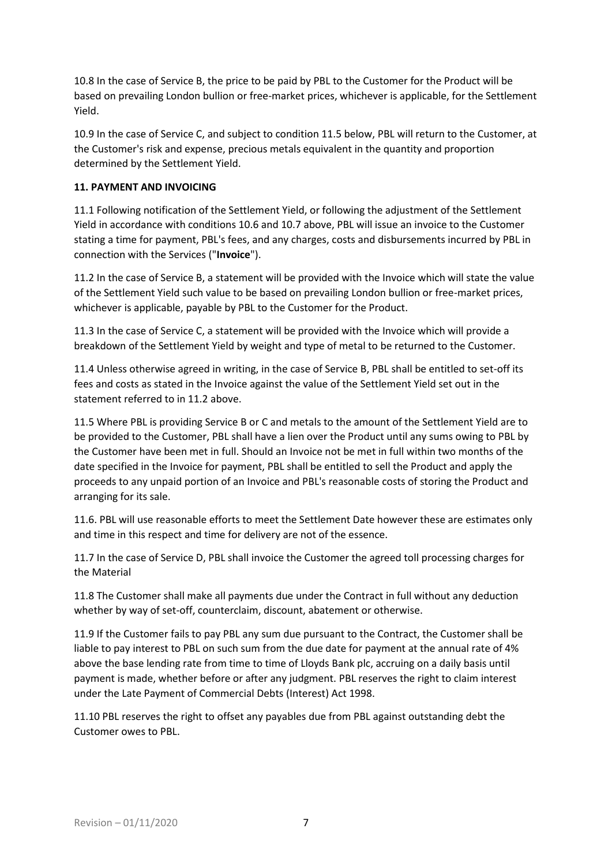10.8 In the case of Service B, the price to be paid by PBL to the Customer for the Product will be based on prevailing London bullion or free-market prices, whichever is applicable, for the Settlement Yield.

10.9 In the case of Service C, and subject to condition 11.5 below, PBL will return to the Customer, at the Customer's risk and expense, precious metals equivalent in the quantity and proportion determined by the Settlement Yield.

# **11. PAYMENT AND INVOICING**

11.1 Following notification of the Settlement Yield, or following the adjustment of the Settlement Yield in accordance with conditions 10.6 and 10.7 above, PBL will issue an invoice to the Customer stating a time for payment, PBL's fees, and any charges, costs and disbursements incurred by PBL in connection with the Services ("**Invoice**").

11.2 In the case of Service B, a statement will be provided with the Invoice which will state the value of the Settlement Yield such value to be based on prevailing London bullion or free-market prices, whichever is applicable, payable by PBL to the Customer for the Product.

11.3 In the case of Service C, a statement will be provided with the Invoice which will provide a breakdown of the Settlement Yield by weight and type of metal to be returned to the Customer.

11.4 Unless otherwise agreed in writing, in the case of Service B, PBL shall be entitled to set-off its fees and costs as stated in the Invoice against the value of the Settlement Yield set out in the statement referred to in 11.2 above.

11.5 Where PBL is providing Service B or C and metals to the amount of the Settlement Yield are to be provided to the Customer, PBL shall have a lien over the Product until any sums owing to PBL by the Customer have been met in full. Should an Invoice not be met in full within two months of the date specified in the Invoice for payment, PBL shall be entitled to sell the Product and apply the proceeds to any unpaid portion of an Invoice and PBL's reasonable costs of storing the Product and arranging for its sale.

11.6. PBL will use reasonable efforts to meet the Settlement Date however these are estimates only and time in this respect and time for delivery are not of the essence.

11.7 In the case of Service D, PBL shall invoice the Customer the agreed toll processing charges for the Material

11.8 The Customer shall make all payments due under the Contract in full without any deduction whether by way of set-off, counterclaim, discount, abatement or otherwise.

11.9 If the Customer fails to pay PBL any sum due pursuant to the Contract, the Customer shall be liable to pay interest to PBL on such sum from the due date for payment at the annual rate of 4% above the base lending rate from time to time of Lloyds Bank plc, accruing on a daily basis until payment is made, whether before or after any judgment. PBL reserves the right to claim interest under the Late Payment of Commercial Debts (Interest) Act 1998.

11.10 PBL reserves the right to offset any payables due from PBL against outstanding debt the Customer owes to PBL.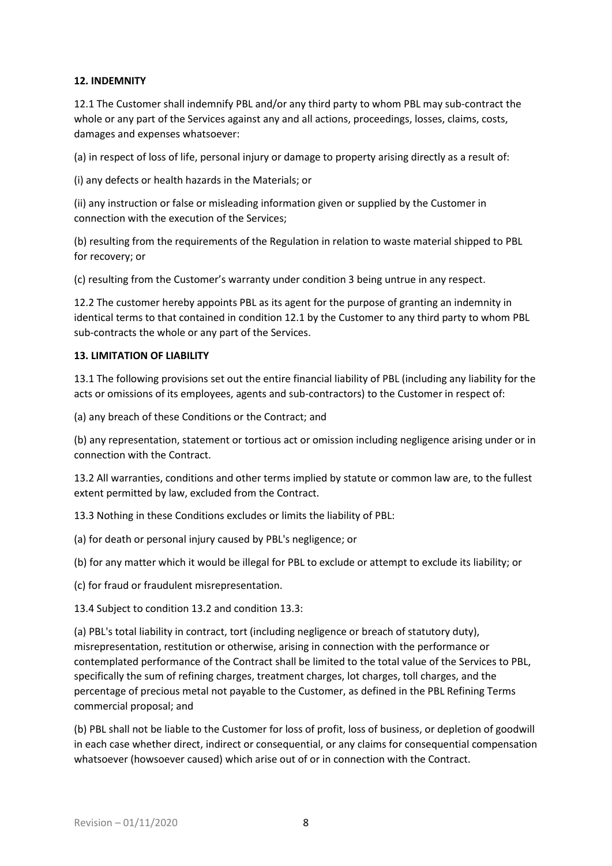## **12. INDEMNITY**

12.1 The Customer shall indemnify PBL and/or any third party to whom PBL may sub-contract the whole or any part of the Services against any and all actions, proceedings, losses, claims, costs, damages and expenses whatsoever:

(a) in respect of loss of life, personal injury or damage to property arising directly as a result of:

(i) any defects or health hazards in the Materials; or

(ii) any instruction or false or misleading information given or supplied by the Customer in connection with the execution of the Services;

(b) resulting from the requirements of the Regulation in relation to waste material shipped to PBL for recovery; or

(c) resulting from the Customer's warranty under condition 3 being untrue in any respect.

12.2 The customer hereby appoints PBL as its agent for the purpose of granting an indemnity in identical terms to that contained in condition 12.1 by the Customer to any third party to whom PBL sub-contracts the whole or any part of the Services.

## **13. LIMITATION OF LIABILITY**

13.1 The following provisions set out the entire financial liability of PBL (including any liability for the acts or omissions of its employees, agents and sub-contractors) to the Customer in respect of:

(a) any breach of these Conditions or the Contract; and

(b) any representation, statement or tortious act or omission including negligence arising under or in connection with the Contract.

13.2 All warranties, conditions and other terms implied by statute or common law are, to the fullest extent permitted by law, excluded from the Contract.

13.3 Nothing in these Conditions excludes or limits the liability of PBL:

(a) for death or personal injury caused by PBL's negligence; or

(b) for any matter which it would be illegal for PBL to exclude or attempt to exclude its liability; or

(c) for fraud or fraudulent misrepresentation.

13.4 Subject to condition 13.2 and condition 13.3:

(a) PBL's total liability in contract, tort (including negligence or breach of statutory duty), misrepresentation, restitution or otherwise, arising in connection with the performance or contemplated performance of the Contract shall be limited to the total value of the Services to PBL, specifically the sum of refining charges, treatment charges, lot charges, toll charges, and the percentage of precious metal not payable to the Customer, as defined in the PBL Refining Terms commercial proposal; and

(b) PBL shall not be liable to the Customer for loss of profit, loss of business, or depletion of goodwill in each case whether direct, indirect or consequential, or any claims for consequential compensation whatsoever (howsoever caused) which arise out of or in connection with the Contract.